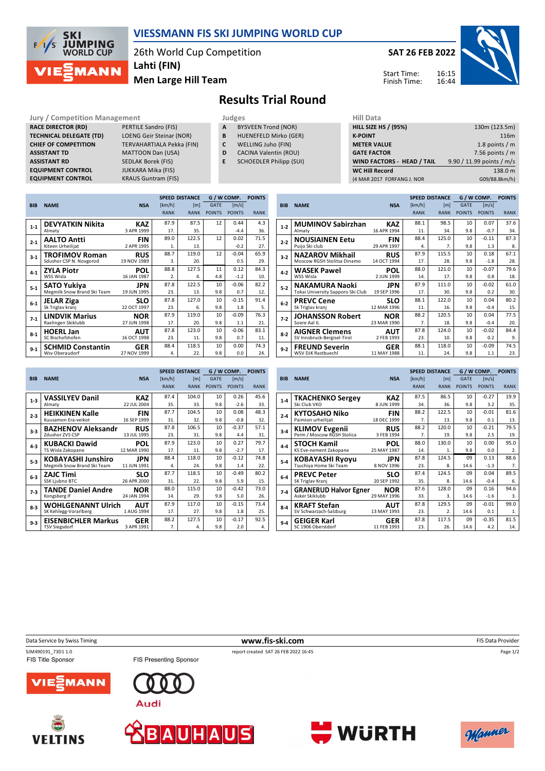

## **VIESSMANN FIS SKI JUMPING WORLD CUP**

26th World Cup Competition **Lahti (FIN)**

**Men Large Hill Team**

**SAT 26 FEB 2022**



Start Time: Finish Time:

## **Results Trial Round**

**Jury / Competition Management Judges Hill Databally RACE DIRECTOR (RD)** PERTILE Sandro (FIS) **TECHNICAL DELEGATE (TD)** LOENG Geir Steinar (NOR) **CHIEF OF COMPETITION** TERVAHARTIALA Pekka (FIN) **ASSISTANT TD** MATTOON Dan (USA) **ASSISTANT RD** SEDLAK Borek (FIS)<br>**EQUIPMENT CONTROL** JUKKARA Mika (FIS) **EQUIPMENT CONTROL**<br>**EQUIPMENT CONTROL** 

**KRAUS Guntram (FIS)** 

- **A** BYSVEEN Trond (NOR)
- **B** HUENEFELD Mirko (GER)
- **C** WELLING Juho (FIN)
- **D** CACINA Valentin (ROU)
- **E** SCHOEDLER Philipp (SUI)

| нш рата                     |                           |
|-----------------------------|---------------------------|
| <b>HILL SIZE HS / (95%)</b> | 130m (123.5m)             |
| <b>K-POINT</b>              | 116m                      |
| <b>METER VALUE</b>          | 1.8 points $/m$           |
| <b>GATE FACTOR</b>          | 7.56 points $/m$          |
| WIND FACTORS - HEAD / TAIL  | 9.90 / 11.99 points / m/s |
| <b>WC Hill Record</b>       | 138.0 m                   |
| (4 MAR 2017 FORFANG J. NOR  | G09/88.8km/h)             |
|                             |                           |

|            |                             |             |             | <b>SPEED DISTANCE</b> | G / W COMP.   | <b>POINTS</b> |             |
|------------|-----------------------------|-------------|-------------|-----------------------|---------------|---------------|-------------|
| <b>BIB</b> | <b>NAME</b>                 | <b>NSA</b>  | [km/h]      | [ <sub>m</sub> ]      | <b>GATE</b>   | [m/s]         |             |
|            |                             |             | <b>RANK</b> | <b>RANK</b>           | <b>POINTS</b> | <b>POINTS</b> | <b>RANK</b> |
| $1-1$      | <b>DEVYATKIN Nikita</b>     | <b>KAZ</b>  | 87.9        | 87.5                  | 12            | 0.44          | 4.3         |
|            | Almaty                      | 3 APR 1999  | 17.         | 35.                   |               | $-4.4$        | 36.         |
| $2 - 1$    | <b>AALTO Antti</b>          | <b>FIN</b>  | 89.0        | 122.5                 | 12            | 0.02          | 71.5        |
|            | Kiteen Urheilijat           | 2 APR 1995  | 1.          | 13.                   |               | $-0.2$        | 27.         |
| $3-1$      | <b>TROFIMOV Roman</b>       | <b>RUS</b>  | 88.7        | 119.0                 | 12            | $-0.04$       | 65.9        |
|            | Sdushor CSP N. Novgorod     | 19 NOV 1989 | 3.          | 20.                   |               | 0.5           | 29.         |
| $4 - 1$    | <b>ZYLA Piotr</b>           | <b>POL</b>  | 88.8        | 127.5                 | 11            | 0.12          | 84.3        |
|            | WSS Wisla                   | 16 JAN 1987 | 2.          | 4.                    | 4.8           | $-1.2$        | 10.         |
| $5-1$      | <b>SATO Yukiya</b>          | JPN         | 87.8        | 122.5                 | 10            | $-0.06$       | 82.2        |
|            | Megmilk Snow Brand Ski Team | 19 JUN 1995 | 23.         | 13.                   | 9.8           | 0.7           | 12.         |
| $6-1$      | <b>JELAR Ziga</b>           | <b>SLO</b>  | 87.8        | 127.0                 | 10            | $-0.15$       | 91.4        |
|            | Sk Triglav kranj            | 22 OCT 1997 | 23.         | 6.                    | 9.8           | 1.8           | 5.          |
| $7-1$      | <b>LINDVIK Marius</b>       | <b>NOR</b>  | 87.9        | 119.0                 | 10            | $-0.09$       | 76.3        |
|            | Raelingen Skiklubb          | 27 JUN 1998 | 17.         | 20.                   | 9.8           | 1.1           | 21.         |
| $8-1$      | <b>HOERL Jan</b>            | <b>AUT</b>  | 87.8        | 123.0                 | 10            | $-0.06$       | 83.1        |
|            | SC Bischofshofen            | 16 OCT 1998 | 23.         | 11.                   | 9.8           | 0.7           | 11.         |
| $9 - 1$    | <b>SCHMID Constantin</b>    | <b>GER</b>  | 88.4        | 118.5                 | 10            | 0.00          | 74.3        |
|            | Wsv Oberaudorf              | 27 NOV 1999 | 4.          | 22.                   | 9.8           | 0.0           | 24.         |

|            |                                   |             |             | <b>SPEED DISTANCE</b> |                 | G / W COMP.   |             |  |
|------------|-----------------------------------|-------------|-------------|-----------------------|-----------------|---------------|-------------|--|
| <b>BIB</b> | <b>NAME</b>                       | <b>NSA</b>  | [km/h]      | [ <sub>m</sub> ]      | <b>GATE</b>     | [m/s]         |             |  |
|            |                                   |             | <b>RANK</b> | <b>RANK</b>           | <b>POINTS</b>   | <b>POINTS</b> | <b>RANK</b> |  |
| $1-2$      | <b>MUMINOV Sabirzhan</b>          | KAZ         | 88.1        | 98.5                  | 10              | 0.07          | 37.6        |  |
|            | Almaty                            | 16 APR 1994 | 11.         | 34.                   | 9.8             | $-0.7$        | 34.         |  |
| $2 - 2$    | <b>NOUSIAINEN Eetu</b>            | FIN         | 88.4        | 125.0                 | 10              | $-0.11$       | 87.3        |  |
|            | Puijo Ski club                    | 29 APR 1997 | 4.          | 7.                    | 9.8             | 1.3           | 8.          |  |
| $3-2$      | <b>NAZAROV Mikhail</b>            | <b>RUS</b>  | 87.9        | 115.5                 | 10 <sup>2</sup> | 0.18          | 67.1        |  |
|            | Moscow RGSH Stolitsa Dinamo       | 14 OCT 1994 | 17.         | 28.                   | 9.8             | $-1.8$        | 28.         |  |
| $4 - 2$    | WASEK Pawel                       | POL         | 88.0        | 121.0                 | 10              | $-0.07$       | 79.6        |  |
|            | WSS Wisla                         | 2 JUN 1999  | 14.         | 17.                   | 9.8             | 0.8           | 18.         |  |
| $5 - 2$    | NAKAMURA Naoki                    | JPN         | 87.9        | 111.0                 | 10              | $-0.02$       | 61.0        |  |
|            | Tokai University Sapporo Ski Club | 19 SEP 1996 | 17.         | 30.                   | 9.8             | 0.2           | 30.         |  |
| $6-2$      | <b>PREVC Cene</b>                 | SLO         | 88.1        | 122.0                 | 10              | 0.04          | 80.2        |  |
|            | Sk Triglav kranj                  | 12 MAR 1996 | 11.         | 16.                   | 9.8             | $-0.4$        | 15.         |  |
| $7-2$      | JOHANSSON Robert                  | <b>NOR</b>  | 88.2        | 120.5                 | 10              | 0.04          | 77.5        |  |
|            | Soere Aal IL                      | 23 MAR 1990 | 7.          | 18.                   | 9.8             | $-0.4$        | 20.         |  |
| $8-2$      | <b>AIGNER Clemens</b>             | AUT         | 87.8        | 124.0                 | 10              | $-0.02$       | 84.4        |  |
|            | SV Innsbruck-Bergisel-Tirol       | 2 FEB 1993  | 23.         | 10.                   | 9.8             | 0.2           | 9.          |  |
| $9 - 2$    | <b>FREUND Severin</b>             | GER         | 88.1        | 118.0                 | 10              | $-0.09$       | 74.5        |  |
|            | WSV DJK Rastbuechl                | 11 MAY 1988 | 11.         | 24.                   | 9.8             | 1.1           | 23.         |  |

|            |                             |             |             | <b>SPEED DISTANCE</b> | G / W COMP.   | <b>POINTS</b> |             |
|------------|-----------------------------|-------------|-------------|-----------------------|---------------|---------------|-------------|
| <b>BIB</b> | <b>NAME</b>                 | <b>NSA</b>  | [km/h]      | [m]                   | <b>GATE</b>   | [m/s]         |             |
|            |                             |             | <b>RANK</b> | <b>RANK</b>           | <b>POINTS</b> | <b>POINTS</b> | <b>RANK</b> |
| $1-3$      | <b>VASSILYEV Danil</b>      | <b>KAZ</b>  | 87.4        | 104.0                 | 10            | 0.26          | 45.6        |
|            | Almaty                      | 22 JUL 2004 | 35.         | 33.                   | 9.8           | $-2.6$        | 33.         |
| $2 - 3$    | <b>HEIKKINEN Kalle</b>      | <b>FIN</b>  | 87.7        | 104.5                 | 10            | 0.08          | 48.3        |
|            | Kuusamon Era-veikot         | 16 SEP 1999 | 31.         | 32.                   | 9.8           | $-0.8$        | 32.         |
| $3-3$      | <b>BAZHENOV Aleksandr</b>   | <b>RUS</b>  | 87.8        | 106.5                 | 10            | $-0.37$       | 57.1        |
|            | Zdushor ZVS CSP             | 13 JUL 1995 | 23.         | 31.                   | 9.8           | 4.4           | 31.         |
| $4 - 3$    | <b>KUBACKI Dawid</b>        | POL         | 87.9        | 123.0                 | 10            | 0.27          | 79.7        |
|            | TS Wisla Zakopane           | 12 MAR 1990 | 17.         | 11.                   | 9.8           | $-2.7$        | 17.         |
| $5-3$      | KOBAYASHI Junshiro          | JPN         | 88.4        | 118.0                 | 10            | $-0.12$       | 74.8        |
|            | Megmilk Snow Brand Ski Team | 11 JUN 1991 | 4.          | 24.                   | 9.8           | 1.4           | 22.         |
| $6-3$      | <b>ZAJC Timi</b>            | <b>SLO</b>  | 87.7        | 118.5                 | 10            | $-0.49$       | 80.2        |
|            | <b>SSK Ljubno BTC</b>       | 26 APR 2000 | 31.         | 22.                   | 9.8           | 5.9           | 15.         |
| $7-3$      | <b>TANDE Daniel Andre</b>   | <b>NOR</b>  | 88.0        | 115.0                 | 10            | $-0.42$       | 73.0        |
|            | Kongsberg If                | 24 JAN 1994 | 14.         | 29.                   | 9.8           | 5.0           | 26.         |
| $8 - 3$    | <b>WOHLGENANNT Ulrich</b>   | <b>AUT</b>  | 87.9        | 117.0                 | 10            | $-0.15$       | 73.4        |
|            | SK Kehlegg-Vorarlberg       | 1 AUG 1994  | 17.         | 27.                   | 9.8           | 1.8           | 25.         |
| $9 - 3$    | <b>EISENBICHLER Markus</b>  | <b>GER</b>  | 88.2        | 127.5                 | 10            | $-0.17$       | 92.5        |
|            | <b>TSV Siegsdorf</b>        | 3 APR 1991  | 7.          | 4.                    | 9.8           | 2.0           | 4.          |

|         |                                                     |             |                  | <b>SPEED DISTANCE</b> | G / W COMP.     | <b>POINTS</b> |                |
|---------|-----------------------------------------------------|-------------|------------------|-----------------------|-----------------|---------------|----------------|
| BIB     | <b>NAME</b>                                         | <b>NSA</b>  | [km/h]           | [ml]                  | <b>GATE</b>     | [m/s]         |                |
|         |                                                     |             | <b>RANK</b>      | <b>RANK</b>           | <b>POINTS</b>   | <b>POINTS</b> | <b>RANK</b>    |
| $1 - 4$ | <b>TKACHENKO Sergev</b>                             | KAZ         | 87.5             | 86.5                  | 10              | $-0.27$       | 19.9           |
|         | Ski Club VKO                                        | 8 JUN 1999  | 34.              | 36.                   | 9.8             | 3.2           | 35.            |
| $2 - 4$ | KYTOSAHO Niko                                       | FIN         | 88.2             | 122.5                 | 10 <sup>2</sup> | $-0.01$       | 81.6           |
|         | Paimion urheilijat                                  | 18 DEC 1999 | $\overline{7}$ . | 13.                   | 9.8             | 0.1           | 13.            |
| $3 - 4$ | <b>KLIMOV Evgenii</b><br>Perm / Moscow RGSH Stolica | <b>RUS</b>  | 88.2             | 120.0                 | 10              | $-0.21$       | 79.5           |
|         |                                                     | 3 FEB 1994  | $\overline{7}$ . | 19.                   | 9.8             | 2.5           | 19.            |
| $4 - 4$ | <b>STOCH Kamil</b>                                  | <b>POL</b>  | 88.0             | 130.0                 | 10              | 0.00          | 95.0           |
|         | KS Eve-nement Zakopane                              | 25 MAY 1987 | 14.              | 1.                    | 9.8             | 0.0           | 2.             |
| $5-4$   | <b>KOBAYASHI Ryoyu</b>                              | JPN         | 87.8             | 124.5                 | 09              | 0.13          | 88.6           |
|         | Tsuchiya Home Ski Team                              | 8 NOV 1996  | 23.              | 8.                    | 14.6            | $-1.3$        | 7 <sub>1</sub> |
| $6-4$   | <b>PREVC Peter</b>                                  | SLO         | 87.4             | 124.5                 | 09              | 0.04          | 89.5           |
|         | SK Triglav Kranj                                    | 20 SEP 1992 | 35.              | 8.                    | 14.6            | $-0.4$        | 6.             |
| $7-4$   | <b>GRANERUD Halvor Egner</b>                        | NOR         | 87.6             | 128.0                 | 09              | 0.16          | 94.6           |
|         | Asker Skiklubb                                      | 29 MAY 1996 | 33.              | 3.                    | 14.6            | $-1.6$        | 3.             |
| $8 - 4$ | <b>KRAFT Stefan</b>                                 | AUT         | 87.8             | 129.5                 | 09              | $-0.01$       | 99.0           |
|         | SV Schwarzach-Salzburg                              | 13 MAY 1993 | 23.              | $\overline{2}$ .      | 14.6            | 0.1           | 1.             |
| $9-4$   | <b>GEIGER Karl</b>                                  | GER         | 87.8             | 117.5                 | 09              | $-0.35$       | 81.5           |
|         | SC 1906 Oberstdorf                                  | 11 FEB 1993 | 23.              | 26.                   | 14.6            | 4.2           | 14.            |

Data Service by Swiss Timing **www.fis-ski.com** FIS Data Provider

**VELTINS** 

SJM490191\_73D1 1.0 **report created SAT 26 FEB 2022 16:45** FIS Title Sponsor





FIS Presenting Sponsor









Page 1/2